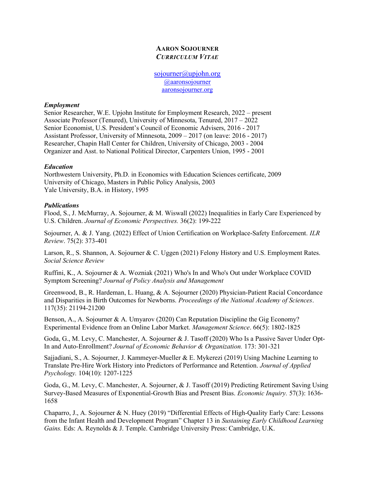# AARON SOJOURNER CURRICULUM VITAE

sojourner@upjohn.org @aaronsojourner aaronsojourner.org

#### Employment

Senior Researcher, W.E. Upjohn Institute for Employment Research, 2022 – present Associate Professor (Tenured), University of Minnesota, Tenured, 2017 – 2022 Senior Economist, U.S. President's Council of Economic Advisers, 2016 - 2017 Assistant Professor, University of Minnesota, 2009 – 2017 (on leave: 2016 - 2017) Researcher, Chapin Hall Center for Children, University of Chicago, 2003 - 2004 Organizer and Asst. to National Political Director, Carpenters Union, 1995 - 2001

# Education

Northwestern University, Ph.D. in Economics with Education Sciences certificate, 2009 University of Chicago, Masters in Public Policy Analysis, 2003 Yale University, B.A. in History, 1995

### **Publications**

Flood, S., J. McMurray, A. Sojourner, & M. Wiswall (2022) Inequalities in Early Care Experienced by U.S. Children. Journal of Economic Perspectives. 36(2): 199-222

Sojourner, A. & J. Yang. (2022) Effect of Union Certification on Workplace-Safety Enforcement. ILR Review. 75(2): 373-401

Larson, R., S. Shannon, A. Sojourner & C. Uggen (2021) Felony History and U.S. Employment Rates. Social Science Review

Ruffini, K., A. Sojourner & A. Wozniak (2021) Who's In and Who's Out under Workplace COVID Symptom Screening? Journal of Policy Analysis and Management

Greenwood, B., R. Hardeman, L. Huang, & A. Sojourner (2020) Physician-Patient Racial Concordance and Disparities in Birth Outcomes for Newborns. Proceedings of the National Academy of Sciences. 117(35): 21194-21200

Benson, A., A. Sojourner & A. Umyarov (2020) Can Reputation Discipline the Gig Economy? Experimental Evidence from an Online Labor Market. Management Science. 66(5): 1802-1825

Goda, G., M. Levy, C. Manchester, A. Sojourner & J. Tasoff (2020) Who Is a Passive Saver Under Opt-In and Auto-Enrollment? Journal of Economic Behavior & Organization. 173: 301-321

Sajjadiani, S., A. Sojourner, J. Kammeyer-Mueller & E. Mykerezi (2019) Using Machine Learning to Translate Pre-Hire Work History into Predictors of Performance and Retention. Journal of Applied Psychology. 104(10): 1207-1225

Goda, G., M. Levy, C. Manchester, A. Sojourner, & J. Tasoff (2019) Predicting Retirement Saving Using Survey-Based Measures of Exponential-Growth Bias and Present Bias. Economic Inquiry. 57(3): 1636- 1658

Chaparro, J., A. Sojourner & N. Huey (2019) "Differential Effects of High-Quality Early Care: Lessons from the Infant Health and Development Program" Chapter 13 in Sustaining Early Childhood Learning Gains. Eds: A. Reynolds & J. Temple. Cambridge University Press: Cambridge, U.K.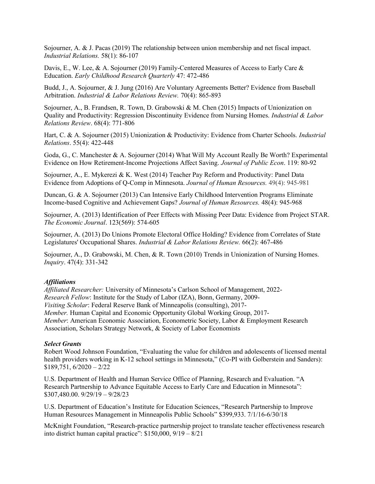Sojourner, A. & J. Pacas (2019) The relationship between union membership and net fiscal impact. Industrial Relations. 58(1): 86-107

Davis, E., W. Lee, & A. Sojourner (2019) Family-Centered Measures of Access to Early Care & Education. Early Childhood Research Quarterly 47: 472-486

Budd, J., A. Sojourner, & J. Jung (2016) Are Voluntary Agreements Better? Evidence from Baseball Arbitration. Industrial & Labor Relations Review. 70(4): 865-893

Sojourner, A., B. Frandsen, R. Town, D. Grabowski & M. Chen (2015) Impacts of Unionization on Quality and Productivity: Regression Discontinuity Evidence from Nursing Homes. *Industrial & Labor* Relations Review. 68(4): 771-806

Hart, C. & A. Sojourner (2015) Unionization & Productivity: Evidence from Charter Schools. *Industrial* Relations. 55(4): 422-448

Goda, G., C. Manchester & A. Sojourner (2014) What Will My Account Really Be Worth? Experimental Evidence on How Retirement-Income Projections Affect Saving. Journal of Public Econ. 119: 80-92

Sojourner, A., E. Mykerezi & K. West (2014) Teacher Pay Reform and Productivity: Panel Data Evidence from Adoptions of Q-Comp in Minnesota. Journal of Human Resources. 49(4): 945-981

Duncan, G. & A. Sojourner (2013) Can Intensive Early Childhood Intervention Programs Eliminate Income-based Cognitive and Achievement Gaps? Journal of Human Resources. 48(4): 945-968

Sojourner, A. (2013) Identification of Peer Effects with Missing Peer Data: Evidence from Project STAR. The Economic Journal. 123(569): 574-605

Sojourner, A. (2013) Do Unions Promote Electoral Office Holding? Evidence from Correlates of State Legislatures' Occupational Shares. Industrial & Labor Relations Review. 66(2): 467-486

Sojourner, A., D. Grabowski, M. Chen, & R. Town (2010) Trends in Unionization of Nursing Homes. Inquiry. 47(4): 331-342

#### **Affiliations**

Affiliated Researcher: University of Minnesota's Carlson School of Management, 2022- Research Fellow: Institute for the Study of Labor (IZA), Bonn, Germany, 2009- Visiting Scholar: Federal Reserve Bank of Minneapolis (consulting), 2017- Member. Human Capital and Economic Opportunity Global Working Group, 2017- Member: American Economic Association, Econometric Society, Labor & Employment Research Association, Scholars Strategy Network, & Society of Labor Economists

#### Select Grants

Robert Wood Johnson Foundation, "Evaluating the value for children and adolescents of licensed mental health providers working in K-12 school settings in Minnesota," (Co-PI with Golberstein and Sanders):  $$189,751, 6/2020 - 2/22$ 

U.S. Department of Health and Human Service Office of Planning, Research and Evaluation. "A Research Partnership to Advance Equitable Access to Early Care and Education in Minnesota": \$307,480.00. 9/29/19 – 9/28/23

U.S. Department of Education's Institute for Education Sciences, "Research Partnership to Improve Human Resources Management in Minneapolis Public Schools" \$399,933. 7/1/16-6/30/18

McKnight Foundation, "Research-practice partnership project to translate teacher effectiveness research into district human capital practice":  $$150,000, 9/19 - 8/21$